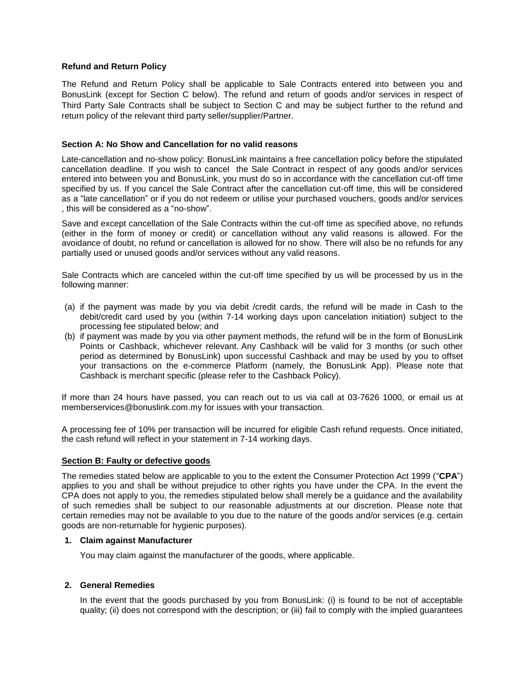### **Refund and Return Policy**

The Refund and Return Policy shall be applicable to Sale Contracts entered into between you and BonusLink (except for Section C below). The refund and return of goods and/or services in respect of Third Party Sale Contracts shall be subject to Section C and may be subject further to the refund and return policy of the relevant third party seller/supplier/Partner.

## **Section A: No Show and Cancellation for no valid reasons**

Late-cancellation and no-show policy: BonusLink maintains a free cancellation policy before the stipulated cancellation deadline. If you wish to cancel the Sale Contract in respect of any goods and/or services entered into between you and BonusLink, you must do so in accordance with the cancellation cut-off time specified by us. If you cancel the Sale Contract after the cancellation cut-off time, this will be considered as a "late cancellation" or if you do not redeem or utilise your purchased vouchers, goods and/or services , this will be considered as a "no-show".

Save and except cancellation of the Sale Contracts within the cut-off time as specified above, no refunds (either in the form of money or credit) or cancellation without any valid reasons is allowed. For the avoidance of doubt, no refund or cancellation is allowed for no show. There will also be no refunds for any partially used or unused goods and/or services without any valid reasons.

Sale Contracts which are canceled within the cut-off time specified by us will be processed by us in the following manner:

- (a) if the payment was made by you via debit /credit cards, the refund will be made in Cash to the debit/credit card used by you (within 7-14 working days upon cancelation initiation) subject to the processing fee stipulated below; and
- (b) if payment was made by you via other payment methods, the refund will be in the form of BonusLink Points or Cashback, whichever relevant. Any Cashback will be valid for 3 months (or such other period as determined by BonusLink) upon successful Cashback and may be used by you to offset your transactions on the e-commerce Platform (namely, the BonusLink App). Please note that Cashback is merchant specific (please refer to the Cashback Policy).

If more than 24 hours have passed, you can reach out to us via call at 03-7626 1000, or email us at memberservices@bonuslink.com.my for issues with your transaction.

A processing fee of 10% per transaction will be incurred for eligible Cash refund requests. Once initiated, the cash refund will reflect in your statement in 7-14 working days.

#### **Section B: Faulty or defective goods**

The remedies stated below are applicable to you to the extent the Consumer Protection Act 1999 ("**CPA**") applies to you and shall be without prejudice to other rights you have under the CPA. In the event the CPA does not apply to you, the remedies stipulated below shall merely be a guidance and the availability of such remedies shall be subject to our reasonable adjustments at our discretion. Please note that certain remedies may not be available to you due to the nature of the goods and/or services (e.g. certain goods are non-returnable for hygienic purposes).

#### **1. Claim against Manufacturer**

You may claim against the manufacturer of the goods, where applicable.

# **2. General Remedies**

In the event that the goods purchased by you from BonusLink: (i) is found to be not of acceptable quality; (ii) does not correspond with the description; or (iii) fail to comply with the implied guarantees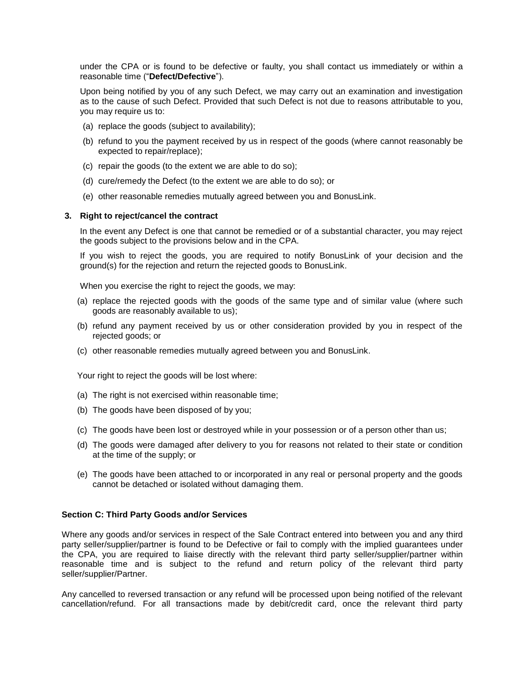under the CPA or is found to be defective or faulty, you shall contact us immediately or within a reasonable time ("**Defect/Defective**").

Upon being notified by you of any such Defect, we may carry out an examination and investigation as to the cause of such Defect. Provided that such Defect is not due to reasons attributable to you, you may require us to:

- (a) replace the goods (subject to availability);
- (b) refund to you the payment received by us in respect of the goods (where cannot reasonably be expected to repair/replace);
- (c) repair the goods (to the extent we are able to do so);
- (d) cure/remedy the Defect (to the extent we are able to do so); or
- (e) other reasonable remedies mutually agreed between you and BonusLink.

#### **3. Right to reject/cancel the contract**

In the event any Defect is one that cannot be remedied or of a substantial character, you may reject the goods subject to the provisions below and in the CPA.

If you wish to reject the goods, you are required to notify BonusLink of your decision and the ground(s) for the rejection and return the rejected goods to BonusLink.

When you exercise the right to reject the goods, we may:

- (a) replace the rejected goods with the goods of the same type and of similar value (where such goods are reasonably available to us);
- (b) refund any payment received by us or other consideration provided by you in respect of the rejected goods; or
- (c) other reasonable remedies mutually agreed between you and BonusLink.

Your right to reject the goods will be lost where:

- (a) The right is not exercised within reasonable time;
- (b) The goods have been disposed of by you;
- (c) The goods have been lost or destroyed while in your possession or of a person other than us;
- (d) The goods were damaged after delivery to you for reasons not related to their state or condition at the time of the supply; or
- (e) The goods have been attached to or incorporated in any real or personal property and the goods cannot be detached or isolated without damaging them.

#### **Section C: Third Party Goods and/or Services**

Where any goods and/or services in respect of the Sale Contract entered into between you and any third party seller/supplier/partner is found to be Defective or fail to comply with the implied guarantees under the CPA, you are required to liaise directly with the relevant third party seller/supplier/partner within reasonable time and is subject to the refund and return policy of the relevant third party seller/supplier/Partner.

Any cancelled to reversed transaction or any refund will be processed upon being notified of the relevant cancellation/refund. For all transactions made by debit/credit card, once the relevant third party